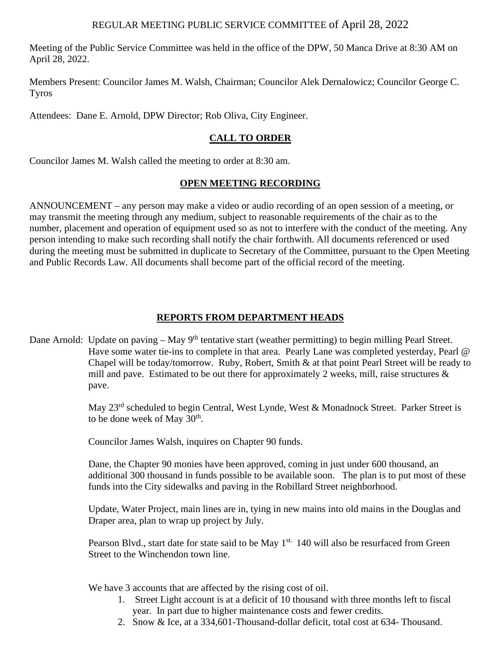## REGULAR MEETING PUBLIC SERVICE COMMITTEE of April 28, 2022

Meeting of the Public Service Committee was held in the office of the DPW, 50 Manca Drive at 8:30 AM on April 28, 2022.

Members Present: Councilor James M. Walsh, Chairman; Councilor Alek Dernalowicz; Councilor George C. Tyros

Attendees: Dane E. Arnold, DPW Director; Rob Oliva, City Engineer.

## **CALL TO ORDER**

Councilor James M. Walsh called the meeting to order at 8:30 am.

## **OPEN MEETING RECORDING**

ANNOUNCEMENT – any person may make a video or audio recording of an open session of a meeting, or may transmit the meeting through any medium, subject to reasonable requirements of the chair as to the number, placement and operation of equipment used so as not to interfere with the conduct of the meeting. Any person intending to make such recording shall notify the chair forthwith. All documents referenced or used during the meeting must be submitted in duplicate to Secretary of the Committee, pursuant to the Open Meeting and Public Records Law. All documents shall become part of the official record of the meeting.

### **REPORTS FROM DEPARTMENT HEADS**

Dane Arnold: Update on paving – May 9<sup>th</sup> tentative start (weather permitting) to begin milling Pearl Street. Have some water tie-ins to complete in that area. Pearly Lane was completed yesterday, Pearl @ Chapel will be today/tomorrow. Ruby, Robert, Smith & at that point Pearl Street will be ready to mill and pave. Estimated to be out there for approximately 2 weeks, mill, raise structures  $\&$ pave.

> May 23<sup>rd</sup> scheduled to begin Central, West Lynde, West & Monadnock Street. Parker Street is to be done week of May 30<sup>th</sup>.

Councilor James Walsh, inquires on Chapter 90 funds.

 Dane, the Chapter 90 monies have been approved, coming in just under 600 thousand, an additional 300 thousand in funds possible to be available soon. The plan is to put most of these funds into the City sidewalks and paving in the Robillard Street neighborhood.

Update, Water Project, main lines are in, tying in new mains into old mains in the Douglas and Draper area, plan to wrap up project by July.

Pearson Blvd., start date for state said to be May 1<sup>st.</sup> 140 will also be resurfaced from Green Street to the Winchendon town line.

We have 3 accounts that are affected by the rising cost of oil.

- 1. Street Light account is at a deficit of 10 thousand with three months left to fiscal year. In part due to higher maintenance costs and fewer credits.
- 2. Snow & Ice, at a 334,601-Thousand-dollar deficit, total cost at 634- Thousand.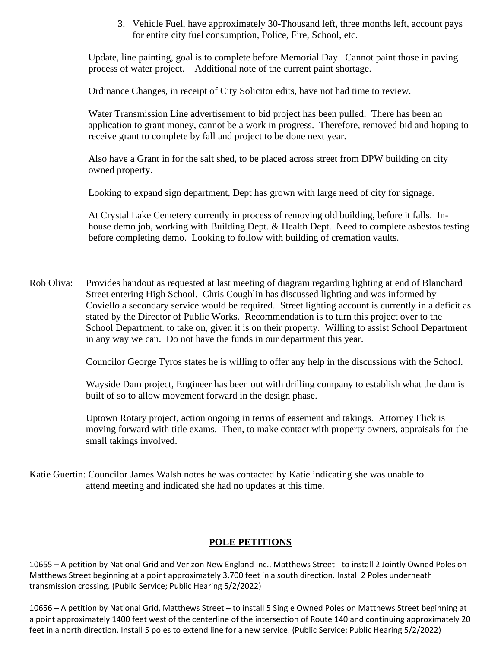3. Vehicle Fuel, have approximately 30-Thousand left, three months left, account pays for entire city fuel consumption, Police, Fire, School, etc.

Update, line painting, goal is to complete before Memorial Day. Cannot paint those in paving process of water project. Additional note of the current paint shortage.

Ordinance Changes, in receipt of City Solicitor edits, have not had time to review.

Water Transmission Line advertisement to bid project has been pulled. There has been an application to grant money, cannot be a work in progress. Therefore, removed bid and hoping to receive grant to complete by fall and project to be done next year.

Also have a Grant in for the salt shed, to be placed across street from DPW building on city owned property.

Looking to expand sign department, Dept has grown with large need of city for signage.

At Crystal Lake Cemetery currently in process of removing old building, before it falls. Inhouse demo job, working with Building Dept. & Health Dept. Need to complete asbestos testing before completing demo. Looking to follow with building of cremation vaults.

Rob Oliva: Provides handout as requested at last meeting of diagram regarding lighting at end of Blanchard Street entering High School. Chris Coughlin has discussed lighting and was informed by Coviello a secondary service would be required. Street lighting account is currently in a deficit as stated by the Director of Public Works. Recommendation is to turn this project over to the School Department. to take on, given it is on their property. Willing to assist School Department in any way we can. Do not have the funds in our department this year.

Councilor George Tyros states he is willing to offer any help in the discussions with the School.

Wayside Dam project, Engineer has been out with drilling company to establish what the dam is built of so to allow movement forward in the design phase.

Uptown Rotary project, action ongoing in terms of easement and takings. Attorney Flick is moving forward with title exams. Then, to make contact with property owners, appraisals for the small takings involved.

Katie Guertin: Councilor James Walsh notes he was contacted by Katie indicating she was unable to attend meeting and indicated she had no updates at this time.

#### **POLE PETITIONS**

10655 – A petition by National Grid and Verizon New England Inc., Matthews Street - to install 2 Jointly Owned Poles on Matthews Street beginning at a point approximately 3,700 feet in a south direction. Install 2 Poles underneath transmission crossing. (Public Service; Public Hearing 5/2/2022)

10656 – A petition by National Grid, Matthews Street – to install 5 Single Owned Poles on Matthews Street beginning at a point approximately 1400 feet west of the centerline of the intersection of Route 140 and continuing approximately 20 feet in a north direction. Install 5 poles to extend line for a new service. (Public Service; Public Hearing 5/2/2022)